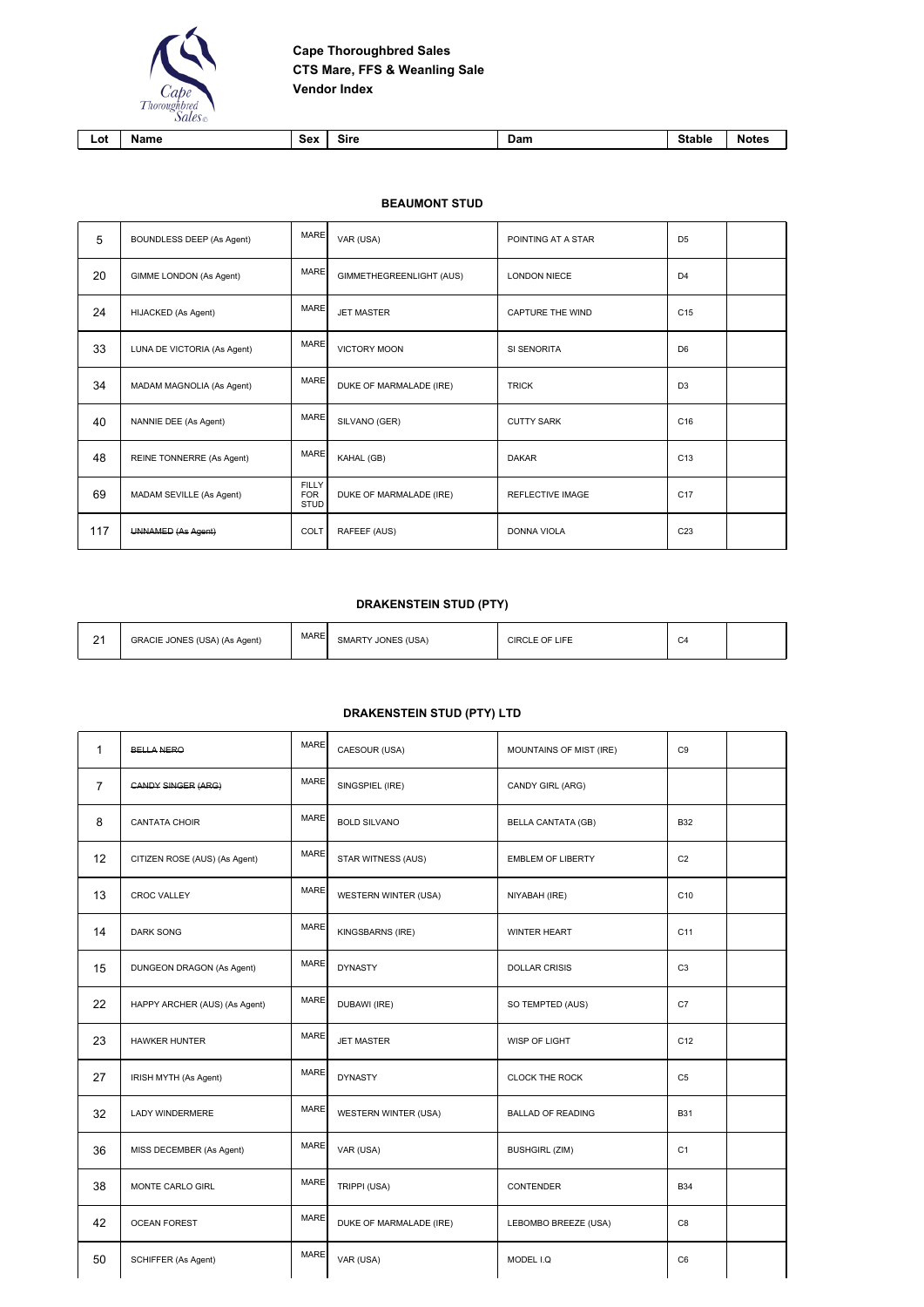

| Lot | me | ς۵۱<br>___ | sırc<br>___ | Dam | וני<br>. | . |
|-----|----|------------|-------------|-----|----------|---|
|     |    |            |             |     |          |   |

**BEAUMONT STUD**

| 5   | BOUNDLESS DEEP (As Agent)   | <b>MARE</b>                               | VAR (USA)                | POINTING AT A STAR      | D <sub>5</sub>  |  |
|-----|-----------------------------|-------------------------------------------|--------------------------|-------------------------|-----------------|--|
| 20  | GIMME LONDON (As Agent)     | <b>MARE</b>                               | GIMMETHEGREENLIGHT (AUS) | <b>LONDON NIECE</b>     | D <sub>4</sub>  |  |
| 24  | HIJACKED (As Agent)         | <b>MARE</b>                               | <b>JET MASTER</b>        | <b>CAPTURE THE WIND</b> | C <sub>15</sub> |  |
| 33  | LUNA DE VICTORIA (As Agent) | <b>MARE</b>                               | <b>VICTORY MOON</b>      | SI SENORITA             | D <sub>6</sub>  |  |
| 34  | MADAM MAGNOLIA (As Agent)   | <b>MARE</b>                               | DUKE OF MARMALADE (IRE)  | <b>TRICK</b>            | D <sub>3</sub>  |  |
| 40  | NANNIE DEE (As Agent)       | <b>MARE</b>                               | SILVANO (GER)            | <b>CUTTY SARK</b>       | C16             |  |
| 48  | REINE TONNERRE (As Agent)   | <b>MARE</b>                               | KAHAL (GB)               | <b>DAKAR</b>            | C <sub>13</sub> |  |
| 69  | MADAM SEVILLE (As Agent)    | <b>FILLY</b><br><b>FOR</b><br><b>STUD</b> | DUKE OF MARMALADE (IRE)  | <b>REFLECTIVE IMAGE</b> | C <sub>17</sub> |  |
| 117 | UNNAMED (As Agent)          | COLT                                      | RAFEEF (AUS)             | <b>DONNA VIOLA</b>      | C <sub>23</sub> |  |

## **DRAKENSTEIN STUD (PTY)**

| $\mathbf{a}$ | GRACIE JONES (USA) (As Agent) | <b>MARE</b> | <b>SMARTY JONES (USA)</b> | CIRCLE OF LIFE | $\sim$<br>◡Ⴗ |  |
|--------------|-------------------------------|-------------|---------------------------|----------------|--------------|--|
|--------------|-------------------------------|-------------|---------------------------|----------------|--------------|--|

## **DRAKENSTEIN STUD (PTY) LTD**

| 1              | <b>BELLA NERO</b>             | <b>MARE</b> | CAESOUR (USA)           | MOUNTAINS OF MIST (IRE)   | C <sub>9</sub>  |  |
|----------------|-------------------------------|-------------|-------------------------|---------------------------|-----------------|--|
| $\overline{7}$ | <b>CANDY SINGER (ARG)</b>     | <b>MARE</b> | SINGSPIEL (IRE)         | CANDY GIRL (ARG)          |                 |  |
| 8              | <b>CANTATA CHOIR</b>          | <b>MARE</b> | <b>BOLD SILVANO</b>     | <b>BELLA CANTATA (GB)</b> | <b>B32</b>      |  |
| 12             | CITIZEN ROSE (AUS) (As Agent) | <b>MARE</b> | STAR WITNESS (AUS)      | <b>EMBLEM OF LIBERTY</b>  | C <sub>2</sub>  |  |
| 13             | <b>CROC VALLEY</b>            | <b>MARE</b> | WESTERN WINTER (USA)    | NIYABAH (IRE)             | C <sub>10</sub> |  |
| 14             | <b>DARK SONG</b>              | <b>MARE</b> | KINGSBARNS (IRE)        | <b>WINTER HEART</b>       | C <sub>11</sub> |  |
| 15             | DUNGEON DRAGON (As Agent)     | <b>MARE</b> | <b>DYNASTY</b>          | <b>DOLLAR CRISIS</b>      | C <sub>3</sub>  |  |
| 22             | HAPPY ARCHER (AUS) (As Agent) | <b>MARE</b> | DUBAWI (IRE)            | SO TEMPTED (AUS)          | C7              |  |
| 23             | <b>HAWKER HUNTER</b>          | <b>MARE</b> | <b>JET MASTER</b>       | WISP OF LIGHT             | C <sub>12</sub> |  |
| 27             | IRISH MYTH (As Agent)         | <b>MARE</b> | <b>DYNASTY</b>          | <b>CLOCK THE ROCK</b>     | C <sub>5</sub>  |  |
| 32             | LADY WINDERMERE               | <b>MARE</b> | WESTERN WINTER (USA)    | <b>BALLAD OF READING</b>  | <b>B31</b>      |  |
| 36             | MISS DECEMBER (As Agent)      | <b>MARE</b> | VAR (USA)               | <b>BUSHGIRL (ZIM)</b>     | C <sub>1</sub>  |  |
| 38             | MONTE CARLO GIRL              | <b>MARE</b> | TRIPPI (USA)            | <b>CONTENDER</b>          | <b>B34</b>      |  |
| 42             | <b>OCEAN FOREST</b>           | <b>MARE</b> | DUKE OF MARMALADE (IRE) | LEBOMBO BREEZE (USA)      | C8              |  |
| 50             | SCHIFFER (As Agent)           | <b>MARE</b> | VAR (USA)               | MODEL I.Q                 | C <sub>6</sub>  |  |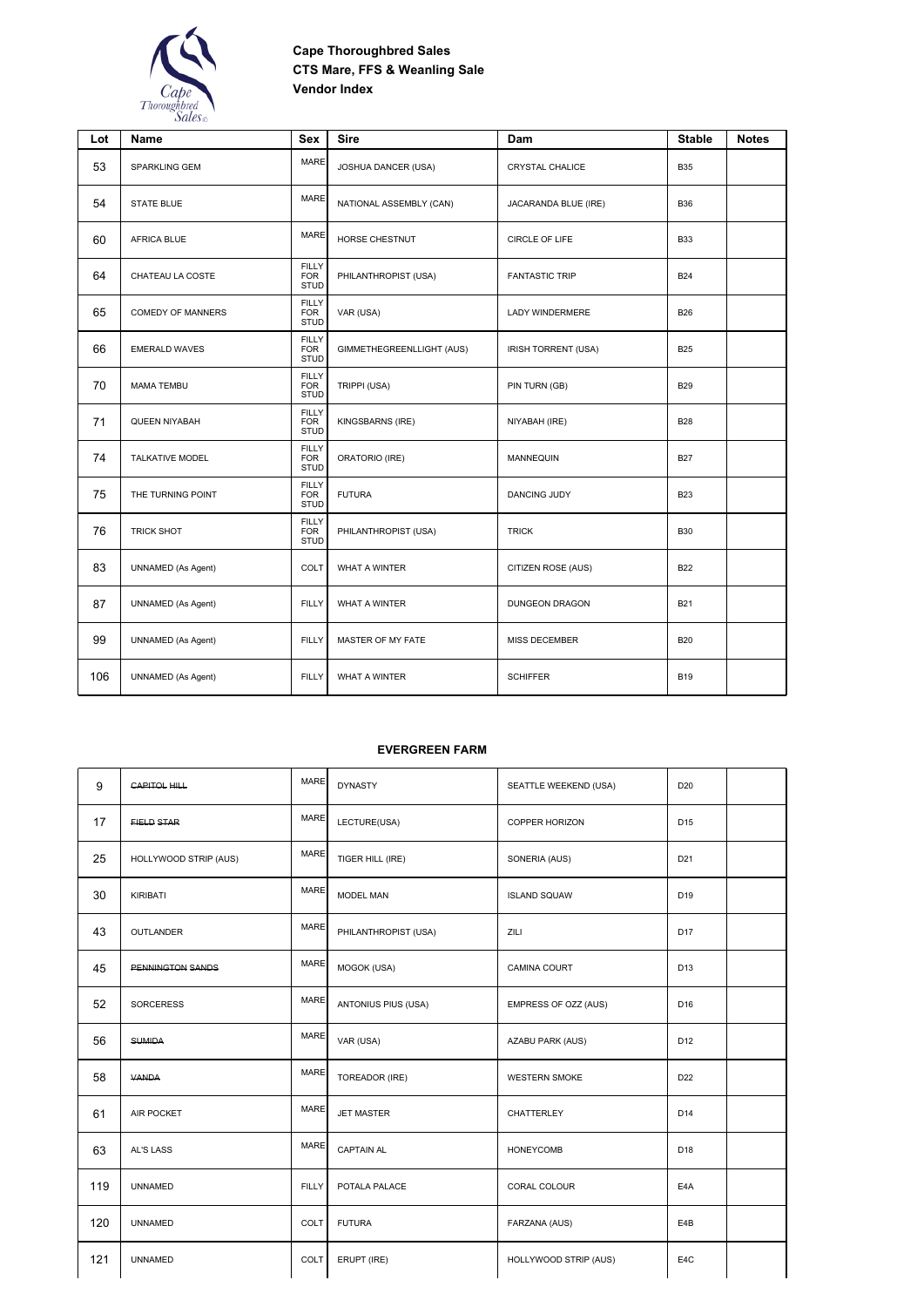

| Lot | Name                      | <b>Sex</b>                                | <b>Sire</b>               | Dam                    | <b>Stable</b> | <b>Notes</b> |
|-----|---------------------------|-------------------------------------------|---------------------------|------------------------|---------------|--------------|
| 53  | SPARKLING GEM             | <b>MARE</b>                               | JOSHUA DANCER (USA)       | <b>CRYSTAL CHALICE</b> | <b>B35</b>    |              |
| 54  | <b>STATE BLUE</b>         | <b>MARE</b>                               | NATIONAL ASSEMBLY (CAN)   | JACARANDA BLUE (IRE)   | <b>B36</b>    |              |
| 60  | <b>AFRICA BLUE</b>        | <b>MARE</b>                               | HORSE CHESTNUT            | CIRCLE OF LIFE         | <b>B33</b>    |              |
| 64  | CHATEAU LA COSTE          | <b>FILLY</b><br><b>FOR</b><br><b>STUD</b> | PHILANTHROPIST (USA)      | <b>FANTASTIC TRIP</b>  | <b>B24</b>    |              |
| 65  | <b>COMEDY OF MANNERS</b>  | <b>FILLY</b><br><b>FOR</b><br><b>STUD</b> | VAR (USA)                 | LADY WINDERMERE        | <b>B26</b>    |              |
| 66  | <b>EMERALD WAVES</b>      | <b>FILLY</b><br><b>FOR</b><br><b>STUD</b> | GIMMETHEGREENLLIGHT (AUS) | IRISH TORRENT (USA)    | <b>B25</b>    |              |
| 70  | <b>MAMA TEMBU</b>         | <b>FILLY</b><br><b>FOR</b><br><b>STUD</b> | TRIPPI (USA)              | PIN TURN (GB)          | <b>B29</b>    |              |
| 71  | QUEEN NIYABAH             | <b>FILLY</b><br><b>FOR</b><br><b>STUD</b> | KINGSBARNS (IRE)          | NIYABAH (IRE)          | <b>B28</b>    |              |
| 74  | <b>TALKATIVE MODEL</b>    | <b>FILLY</b><br><b>FOR</b><br><b>STUD</b> | ORATORIO (IRE)            | <b>MANNEQUIN</b>       | <b>B27</b>    |              |
| 75  | THE TURNING POINT         | <b>FILLY</b><br><b>FOR</b><br><b>STUD</b> | <b>FUTURA</b>             | <b>DANCING JUDY</b>    | <b>B23</b>    |              |
| 76  | <b>TRICK SHOT</b>         | <b>FILLY</b><br><b>FOR</b><br><b>STUD</b> | PHILANTHROPIST (USA)      | <b>TRICK</b>           | <b>B30</b>    |              |
| 83  | UNNAMED (As Agent)        | <b>COLT</b>                               | WHAT A WINTER             | CITIZEN ROSE (AUS)     | <b>B22</b>    |              |
| 87  | UNNAMED (As Agent)        | <b>FILLY</b>                              | WHAT A WINTER             | <b>DUNGEON DRAGON</b>  | <b>B21</b>    |              |
| 99  | <b>UNNAMED</b> (As Agent) | <b>FILLY</b>                              | MASTER OF MY FATE         | <b>MISS DECEMBER</b>   | <b>B20</b>    |              |
| 106 | UNNAMED (As Agent)        | <b>FILLY</b>                              | WHAT A WINTER             | <b>SCHIFFER</b>        | <b>B19</b>    |              |

### **EVERGREEN FARM**

| 9   | <b>CAPITOL HILL</b>   | MARE         | <b>DYNASTY</b>       | SEATTLE WEEKEND (USA) | D <sub>20</sub>  |  |
|-----|-----------------------|--------------|----------------------|-----------------------|------------------|--|
| 17  | FIELD STAR            | <b>MARE</b>  | LECTURE(USA)         | COPPER HORIZON        | D <sub>15</sub>  |  |
| 25  | HOLLYWOOD STRIP (AUS) | <b>MARE</b>  | TIGER HILL (IRE)     | SONERIA (AUS)         | D <sub>21</sub>  |  |
| 30  | KIRIBATI              | <b>MARE</b>  | MODEL MAN            | <b>ISLAND SQUAW</b>   | D <sub>19</sub>  |  |
| 43  | <b>OUTLANDER</b>      | <b>MARE</b>  | PHILANTHROPIST (USA) | ZILI                  | D <sub>17</sub>  |  |
| 45  | PENNINGTON SANDS      | <b>MARE</b>  | MOGOK (USA)          | CAMINA COURT          | D <sub>13</sub>  |  |
| 52  | <b>SORCERESS</b>      | <b>MARE</b>  | ANTONIUS PIUS (USA)  | EMPRESS OF OZZ (AUS)  | D <sub>16</sub>  |  |
| 56  | <b>SUMIDA</b>         | <b>MARE</b>  | VAR (USA)            | AZABU PARK (AUS)      | D <sub>12</sub>  |  |
| 58  | <b>VANDA</b>          | <b>MARE</b>  | TOREADOR (IRE)       | <b>WESTERN SMOKE</b>  | D <sub>22</sub>  |  |
| 61  | AIR POCKET            | <b>MARE</b>  | <b>JET MASTER</b>    | <b>CHATTERLEY</b>     | D <sub>14</sub>  |  |
| 63  | AL'S LASS             | <b>MARE</b>  | <b>CAPTAIN AL</b>    | <b>HONEYCOMB</b>      | D <sub>18</sub>  |  |
| 119 | <b>UNNAMED</b>        | <b>FILLY</b> | POTALA PALACE        | CORAL COLOUR          | E <sub>4</sub> A |  |
| 120 | <b>UNNAMED</b>        | COLT         | <b>FUTURA</b>        | FARZANA (AUS)         | E4B              |  |
| 121 | <b>UNNAMED</b>        | COLT         | ERUPT (IRE)          | HOLLYWOOD STRIP (AUS) | E4C              |  |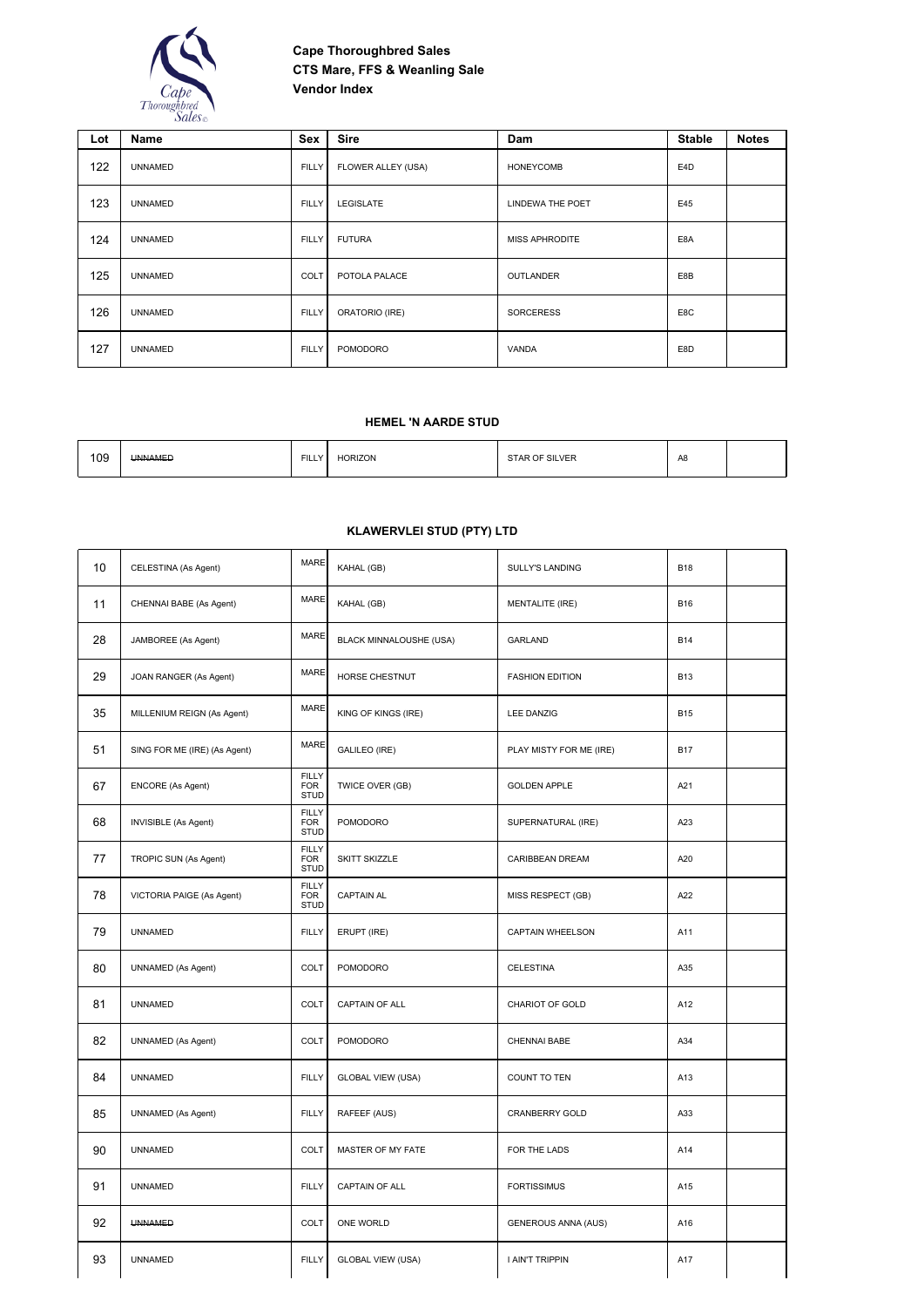

| Lot | Name           | Sex          | <b>Sire</b>           | Dam                     | <b>Stable</b>    | <b>Notes</b> |
|-----|----------------|--------------|-----------------------|-------------------------|------------------|--------------|
| 122 | <b>UNNAMED</b> | <b>FILLY</b> | FLOWER ALLEY (USA)    | <b>HONEYCOMB</b>        | E <sub>4</sub> D |              |
| 123 | <b>UNNAMED</b> | <b>FILLY</b> | <b>LEGISLATE</b>      | <b>LINDEWA THE POET</b> | E45              |              |
| 124 | <b>UNNAMED</b> | <b>FILLY</b> | <b>FUTURA</b>         | <b>MISS APHRODITE</b>   | E8A              |              |
| 125 | <b>UNNAMED</b> | COLT         | POTOLA PALACE         | OUTLANDER               | E8B              |              |
| 126 | <b>UNNAMED</b> | <b>FILLY</b> | <b>ORATORIO (IRE)</b> | <b>SORCERESS</b>        | E8C              |              |
| 127 | <b>UNNAMED</b> | <b>FILLY</b> | POMODORO              | VANDA                   | E8D              |              |

### **HEMEL 'N AARDE STUD**

| 109 | <b>UNNAMED</b> | <b>FILLY</b> | <b>HORIZON</b> | STAR OF SILVER | A <sub>8</sub><br>__ |  |
|-----|----------------|--------------|----------------|----------------|----------------------|--|
|     |                |              |                |                |                      |  |

## **KLAWERVLEI STUD (PTY) LTD**

| 10 | CELESTINA (As Agent)         | <b>MARE</b>                               | KAHAL (GB)               | <b>SULLY'S LANDING</b>     | <b>B18</b> |  |
|----|------------------------------|-------------------------------------------|--------------------------|----------------------------|------------|--|
| 11 | CHENNAI BABE (As Agent)      | <b>MARE</b>                               | KAHAL (GB)               | <b>MENTALITE (IRE)</b>     | <b>B16</b> |  |
| 28 | JAMBOREE (As Agent)          | <b>MARE</b>                               | BLACK MINNALOUSHE (USA)  | <b>GARLAND</b>             | <b>B14</b> |  |
| 29 | JOAN RANGER (As Agent)       | <b>MARE</b>                               | HORSE CHESTNUT           | <b>FASHION EDITION</b>     | <b>B13</b> |  |
| 35 | MILLENIUM REIGN (As Agent)   | <b>MARE</b>                               | KING OF KINGS (IRE)      | <b>LEE DANZIG</b>          | <b>B15</b> |  |
| 51 | SING FOR ME (IRE) (As Agent) | <b>MARE</b>                               | GALILEO (IRE)            | PLAY MISTY FOR ME (IRE)    | <b>B17</b> |  |
| 67 | <b>ENCORE</b> (As Agent)     | <b>FILLY</b><br><b>FOR</b><br><b>STUD</b> | TWICE OVER (GB)          | <b>GOLDEN APPLE</b>        | A21        |  |
| 68 | <b>INVISIBLE (As Agent)</b>  | <b>FILLY</b><br><b>FOR</b><br><b>STUD</b> | <b>POMODORO</b>          | SUPERNATURAL (IRE)         | A23        |  |
| 77 | TROPIC SUN (As Agent)        | <b>FILLY</b><br><b>FOR</b><br><b>STUD</b> | SKITT SKIZZLE            | <b>CARIBBEAN DREAM</b>     | A20        |  |
| 78 | VICTORIA PAIGE (As Agent)    | <b>FILLY</b><br><b>FOR</b><br><b>STUD</b> | <b>CAPTAIN AL</b>        | MISS RESPECT (GB)          | A22        |  |
| 79 | <b>UNNAMED</b>               | <b>FILLY</b>                              | ERUPT (IRE)              | CAPTAIN WHEELSON           | A11        |  |
| 80 | <b>UNNAMED</b> (As Agent)    | COLT                                      | POMODORO                 | CELESTINA                  | A35        |  |
| 81 | <b>UNNAMED</b>               | COLT                                      | CAPTAIN OF ALL           | CHARIOT OF GOLD            | A12        |  |
| 82 | <b>UNNAMED</b> (As Agent)    | COLT                                      | <b>POMODORO</b>          | CHENNAI BABE               | A34        |  |
| 84 | <b>UNNAMED</b>               | <b>FILLY</b>                              | <b>GLOBAL VIEW (USA)</b> | <b>COUNT TO TEN</b>        | A13        |  |
| 85 | UNNAMED (As Agent)           | <b>FILLY</b>                              | RAFEEF (AUS)             | CRANBERRY GOLD             | A33        |  |
| 90 | <b>UNNAMED</b>               | COLT                                      | MASTER OF MY FATE        | FOR THE LADS               | A14        |  |
| 91 | <b>UNNAMED</b>               | <b>FILLY</b>                              | CAPTAIN OF ALL           | <b>FORTISSIMUS</b>         | A15        |  |
| 92 | <b>UNNAMED</b>               | COLT                                      | ONE WORLD                | <b>GENEROUS ANNA (AUS)</b> | A16        |  |
| 93 | <b>UNNAMED</b>               | <b>FILLY</b>                              | <b>GLOBAL VIEW (USA)</b> | I AIN'T TRIPPIN            | A17        |  |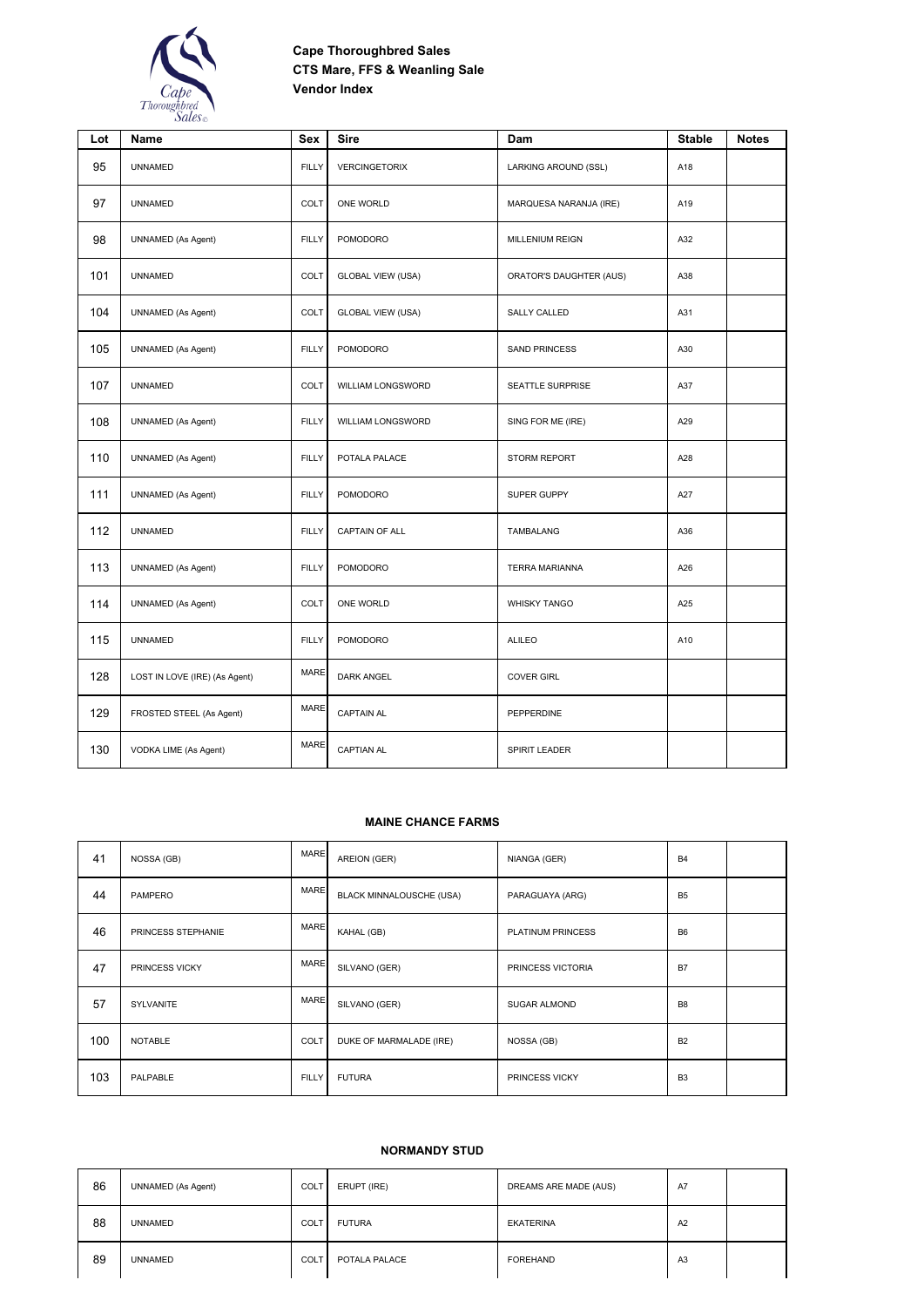

| Lot | Name                          | <b>Sex</b>   | <b>Sire</b>              | Dam                     | <b>Stable</b> | <b>Notes</b> |
|-----|-------------------------------|--------------|--------------------------|-------------------------|---------------|--------------|
| 95  | <b>UNNAMED</b>                | <b>FILLY</b> | VERCINGETORIX            | LARKING AROUND (SSL)    | A18           |              |
| 97  | <b>UNNAMED</b>                | COLT         | ONE WORLD                | MARQUESA NARANJA (IRE)  | A19           |              |
| 98  | <b>UNNAMED</b> (As Agent)     | <b>FILLY</b> | POMODORO                 | MILLENIUM REIGN         | A32           |              |
| 101 | <b>UNNAMED</b>                | COLT         | <b>GLOBAL VIEW (USA)</b> | ORATOR'S DAUGHTER (AUS) | A38           |              |
| 104 | UNNAMED (As Agent)            | COLT         | <b>GLOBAL VIEW (USA)</b> | <b>SALLY CALLED</b>     | A31           |              |
| 105 | <b>UNNAMED</b> (As Agent)     | <b>FILLY</b> | <b>POMODORO</b>          | <b>SAND PRINCESS</b>    | A30           |              |
| 107 | <b>UNNAMED</b>                | COLT         | WILLIAM LONGSWORD        | SEATTLE SURPRISE        | A37           |              |
| 108 | UNNAMED (As Agent)            | <b>FILLY</b> | WILLIAM LONGSWORD        | SING FOR ME (IRE)       | A29           |              |
| 110 | UNNAMED (As Agent)            | <b>FILLY</b> | POTALA PALACE            | <b>STORM REPORT</b>     | A28           |              |
| 111 | UNNAMED (As Agent)            | <b>FILLY</b> | POMODORO                 | SUPER GUPPY             | A27           |              |
| 112 | <b>UNNAMED</b>                | <b>FILLY</b> | CAPTAIN OF ALL           | <b>TAMBALANG</b>        | A36           |              |
| 113 | <b>UNNAMED</b> (As Agent)     | <b>FILLY</b> | POMODORO                 | <b>TERRA MARIANNA</b>   | A26           |              |
| 114 | <b>UNNAMED</b> (As Agent)     | COLT         | ONE WORLD                | <b>WHISKY TANGO</b>     | A25           |              |
| 115 | <b>UNNAMED</b>                | <b>FILLY</b> | <b>POMODORO</b>          | <b>ALILEO</b>           | A10           |              |
| 128 | LOST IN LOVE (IRE) (As Agent) | <b>MARE</b>  | <b>DARK ANGEL</b>        | <b>COVER GIRL</b>       |               |              |
| 129 | FROSTED STEEL (As Agent)      | MARE         | <b>CAPTAIN AL</b>        | PEPPERDINE              |               |              |
| 130 | VODKA LIME (As Agent)         | <b>MARE</b>  | <b>CAPTIAN AL</b>        | SPIRIT LEADER           |               |              |

### **MAINE CHANCE FARMS**

| 41  | NOSSA (GB)         | <b>MARE</b>  | AREION (GER)             | NIANGA (GER)        | <b>B4</b>      |  |
|-----|--------------------|--------------|--------------------------|---------------------|----------------|--|
| 44  | PAMPERO            | <b>MARE</b>  | BLACK MINNALOUSCHE (USA) | PARAGUAYA (ARG)     | B <sub>5</sub> |  |
| 46  | PRINCESS STEPHANIE | <b>MARE</b>  | KAHAL (GB)               | PLATINUM PRINCESS   | B <sub>6</sub> |  |
| 47  | PRINCESS VICKY     | <b>MARE</b>  | SILVANO (GER)            | PRINCESS VICTORIA   | <b>B7</b>      |  |
| 57  | SYLVANITE          | <b>MARE</b>  | SILVANO (GER)            | <b>SUGAR ALMOND</b> | B <sub>8</sub> |  |
| 100 | <b>NOTABLE</b>     | COLT         | DUKE OF MARMALADE (IRE)  | NOSSA (GB)          | <b>B2</b>      |  |
| 103 | PALPABLE           | <b>FILLY</b> | <b>FUTURA</b>            | PRINCESS VICKY      | B <sub>3</sub> |  |

#### **NORMANDY STUD**

| 86 | UNNAMED (As Agent) | COLT | ERUPT (IRE)   | DREAMS ARE MADE (AUS) | A7             |  |
|----|--------------------|------|---------------|-----------------------|----------------|--|
| 88 | <b>UNNAMED</b>     | COLT | <b>FUTURA</b> | <b>EKATERINA</b>      | A2             |  |
| 89 | <b>UNNAMED</b>     | COLT | POTALA PALACE | <b>FOREHAND</b>       | A <sub>3</sub> |  |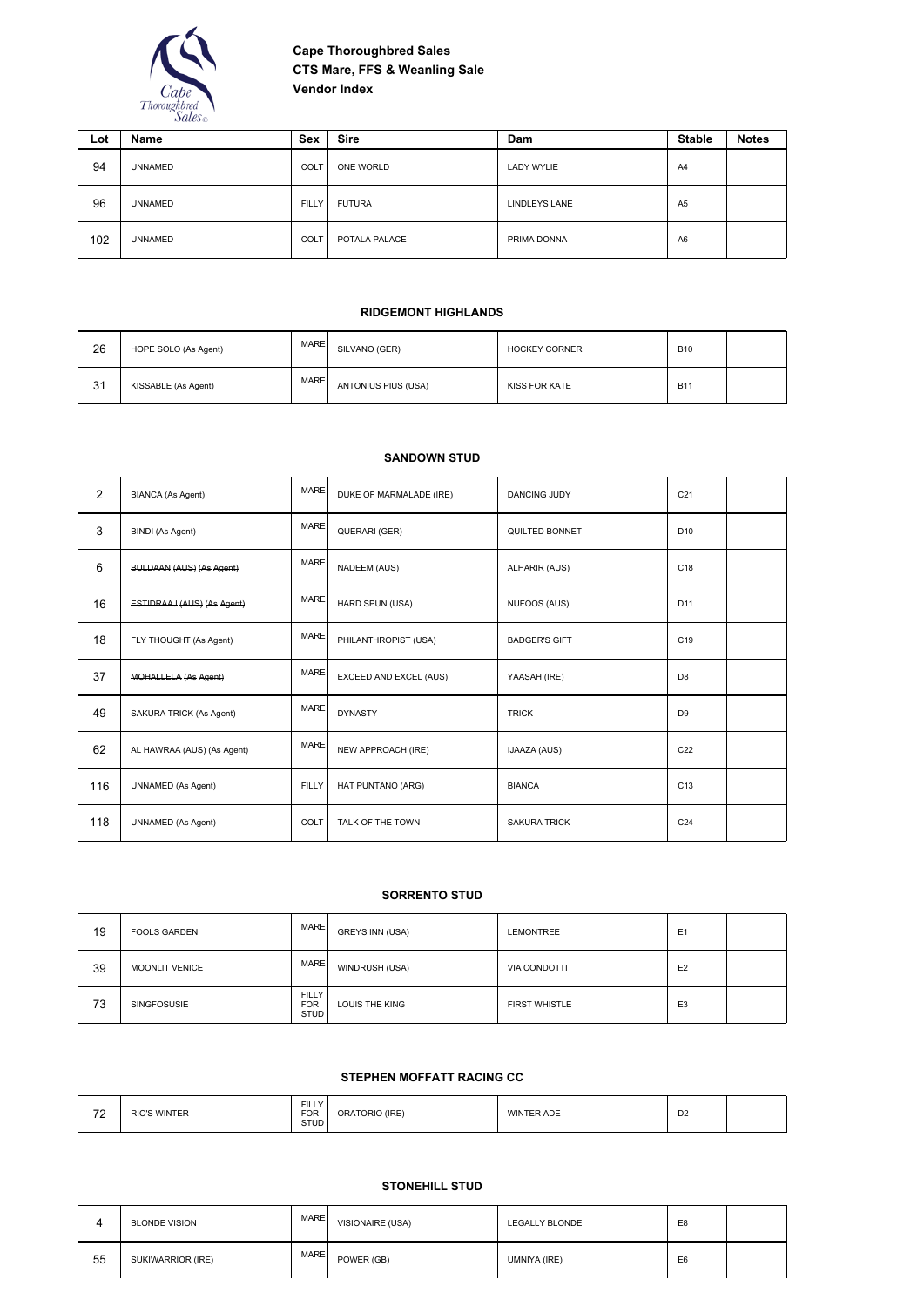

| Lot | Name           | Sex          | <b>Sire</b>   | Dam               | <b>Stable</b>  | <b>Notes</b> |
|-----|----------------|--------------|---------------|-------------------|----------------|--------------|
| 94  | <b>UNNAMED</b> | COLT         | ONE WORLD     | <b>LADY WYLIE</b> | A4             |              |
| 96  | <b>UNNAMED</b> | <b>FILLY</b> | <b>FUTURA</b> | LINDLEYS LANE     | A <sub>5</sub> |              |
| 102 | <b>UNNAMED</b> | <b>COLT</b>  | POTALA PALACE | PRIMA DONNA       | A <sub>6</sub> |              |

### **RIDGEMONT HIGHLANDS**

| 26 | HOPE SOLO (As Agent) | <b>MARE</b> | SILVANO (GER)       | <b>HOCKEY CORNER</b> | <b>B10</b> |  |
|----|----------------------|-------------|---------------------|----------------------|------------|--|
| 31 | KISSABLE (As Agent)  | <b>MARE</b> | ANTONIUS PIUS (USA) | KISS FOR KATE        | <b>B11</b> |  |

### **SANDOWN STUD**

| $\overline{2}$ | <b>BIANCA (As Agent)</b>        | <b>MARE</b>  | DUKE OF MARMALADE (IRE) | <b>DANCING JUDY</b>  | C <sub>21</sub> |  |
|----------------|---------------------------------|--------------|-------------------------|----------------------|-----------------|--|
| 3              | <b>BINDI</b> (As Agent)         | <b>MARE</b>  | QUERARI (GER)           | QUILTED BONNET       | D <sub>10</sub> |  |
| 6              | <b>BULDAAN (AUS) (As Agent)</b> | <b>MARE</b>  | <b>NADEEM (AUS)</b>     | <b>ALHARIR (AUS)</b> | C <sub>18</sub> |  |
| 16             | ESTIDRAAJ (AUS) (As Agent)      | <b>MARE</b>  | HARD SPUN (USA)         | <b>NUFOOS (AUS)</b>  | D <sub>11</sub> |  |
| 18             | FLY THOUGHT (As Agent)          | <b>MARE</b>  | PHILANTHROPIST (USA)    | <b>BADGER'S GIFT</b> | C <sub>19</sub> |  |
| 37             | MOHALLELA (As Agent)            | <b>MARE</b>  | EXCEED AND EXCEL (AUS)  | YAASAH (IRE)         | D <sub>8</sub>  |  |
| 49             | SAKURA TRICK (As Agent)         | <b>MARE</b>  | <b>DYNASTY</b>          | <b>TRICK</b>         | D <sub>9</sub>  |  |
| 62             | AL HAWRAA (AUS) (As Agent)      | <b>MARE</b>  | NEW APPROACH (IRE)      | <b>IJAAZA (AUS)</b>  | C <sub>22</sub> |  |
| 116            | <b>UNNAMED</b> (As Agent)       | <b>FILLY</b> | HAT PUNTANO (ARG)       | <b>BIANCA</b>        | C <sub>13</sub> |  |
| 118            | <b>UNNAMED</b> (As Agent)       | COLT         | TALK OF THE TOWN        | <b>SAKURA TRICK</b>  | C <sub>24</sub> |  |

### **SORRENTO STUD**

| 19 | <b>FOOLS GARDEN</b>   | <b>MARE</b>                               | <b>GREYS INN (USA)</b> | <b>LEMONTREE</b>     | E <sub>1</sub> |  |
|----|-----------------------|-------------------------------------------|------------------------|----------------------|----------------|--|
| 39 | <b>MOONLIT VENICE</b> | <b>MARE</b>                               | WINDRUSH (USA)         | <b>VIA CONDOTTI</b>  | E <sub>2</sub> |  |
| 73 | <b>SINGFOSUSIE</b>    | <b>FILLY</b><br><b>FOR</b><br><b>STUD</b> | LOUIS THE KING         | <b>FIRST WHISTLE</b> | E <sub>3</sub> |  |

### **STEPHEN MOFFATT RACING CC**

| $\overline{z}$<br>$\sim$ | <b>RIO'S WINTER</b> | <b>FILLY</b><br><b>FOR</b><br>$\sim$<br><b>STUD</b> | ORATORIO (IRE) | <b>WINTER ADE</b> | $\mathbf{D}$<br>υz |  |
|--------------------------|---------------------|-----------------------------------------------------|----------------|-------------------|--------------------|--|
|--------------------------|---------------------|-----------------------------------------------------|----------------|-------------------|--------------------|--|

## **STONEHILL STUD**

|    | <b>BLONDE VISION</b> | <b>MARE</b> | VISIONAIRE (USA) | <b>LEGALLY BLONDE</b> | E8             |  |
|----|----------------------|-------------|------------------|-----------------------|----------------|--|
| 55 | SUKIWARRIOR (IRE)    | <b>MARE</b> | POWER (GB)       | UMNIYA (IRE)          | E <sub>6</sub> |  |